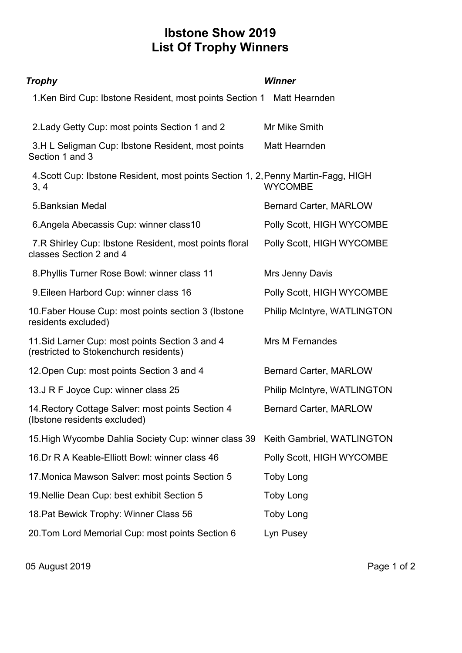## Ibstone Show 2019 List Of Trophy Winners

| <b>Trophy</b>                                                                             | Winner                        |
|-------------------------------------------------------------------------------------------|-------------------------------|
| 1. Ken Bird Cup: Ibstone Resident, most points Section 1<br><b>Matt Hearnden</b>          |                               |
| 2. Lady Getty Cup: most points Section 1 and 2                                            | Mr Mike Smith                 |
| 3.H L Seligman Cup: Ibstone Resident, most points<br>Section 1 and 3                      | <b>Matt Hearnden</b>          |
| 4. Scott Cup: Ibstone Resident, most points Section 1, 2, Penny Martin-Fagg, HIGH<br>3, 4 | <b>WYCOMBE</b>                |
| 5. Banksian Medal                                                                         | <b>Bernard Carter, MARLOW</b> |
| 6. Angela Abecassis Cup: winner class 10                                                  | Polly Scott, HIGH WYCOMBE     |
| 7.R Shirley Cup: Ibstone Resident, most points floral<br>classes Section 2 and 4          | Polly Scott, HIGH WYCOMBE     |
| 8. Phyllis Turner Rose Bowl: winner class 11                                              | Mrs Jenny Davis               |
| 9. Eileen Harbord Cup: winner class 16                                                    | Polly Scott, HIGH WYCOMBE     |
| 10. Faber House Cup: most points section 3 (Ibstone<br>residents excluded)                | Philip McIntyre, WATLINGTON   |
| 11. Sid Larner Cup: most points Section 3 and 4<br>(restricted to Stokenchurch residents) | <b>Mrs M Fernandes</b>        |
| 12. Open Cup: most points Section 3 and 4                                                 | <b>Bernard Carter, MARLOW</b> |
| 13.J R F Joyce Cup: winner class 25                                                       | Philip McIntyre, WATLINGTON   |
| 14. Rectory Cottage Salver: most points Section 4<br>(Ibstone residents excluded)         | <b>Bernard Carter, MARLOW</b> |
| 15. High Wycombe Dahlia Society Cup: winner class 39                                      | Keith Gambriel, WATLINGTON    |
| 16. Dr R A Keable-Elliott Bowl: winner class 46                                           | Polly Scott, HIGH WYCOMBE     |
| 17. Monica Mawson Salver: most points Section 5                                           | <b>Toby Long</b>              |
| 19. Nellie Dean Cup: best exhibit Section 5                                               | <b>Toby Long</b>              |
| 18. Pat Bewick Trophy: Winner Class 56                                                    | <b>Toby Long</b>              |
| 20. Tom Lord Memorial Cup: most points Section 6                                          | Lyn Pusey                     |